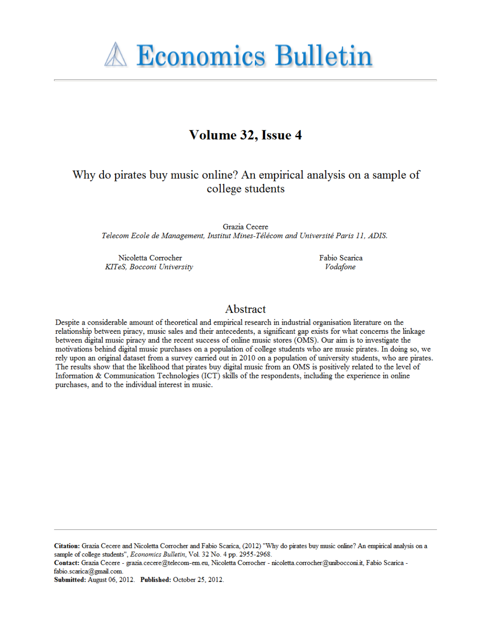**A Economics Bulletin** 

# Volume 32, Issue 4

# Why do pirates buy music online? An empirical analysis on a sample of college students

Grazia Cecere Telecom Ecole de Management, Institut Mines-Télécom and Université Paris 11, ADIS.

Nicoletta Corrocher KITeS, Bocconi University Fabio Scarica Vodafone

## Abstract

Despite a considerable amount of theoretical and empirical research in industrial organisation literature on the relationship between piracy, music sales and their antecedents, a significant gap exists for what concerns the linkage between digital music piracy and the recent success of online music stores (OMS). Our aim is to investigate the motivations behind digital music purchases on a population of college students who are music pirates. In doing so, we rely upon an original dataset from a survey carried out in 2010 on a population of university students, who are pirates. The results show that the likelihood that pirates buy digital music from an OMS is positively related to the level of Information & Communication Technologies (ICT) skills of the respondents, including the experience in online purchases, and to the individual interest in music.

Citation: Grazia Cecere and Nicoletta Corrocher and Fabio Scarica, (2012) "Why do pirates buy music online? An empirical analysis on a sample of college students", Economics Bulletin, Vol. 32 No. 4 pp. 2955-2968.

Contact: Grazia Cecere - grazia.cecere@telecom-em.eu, Nicoletta Corrocher - nicoletta.corrocher@unibocconi.it, Fabio Scarica fabio.scarica@gmail.com.

Submitted: August 06, 2012. Published: October 25, 2012.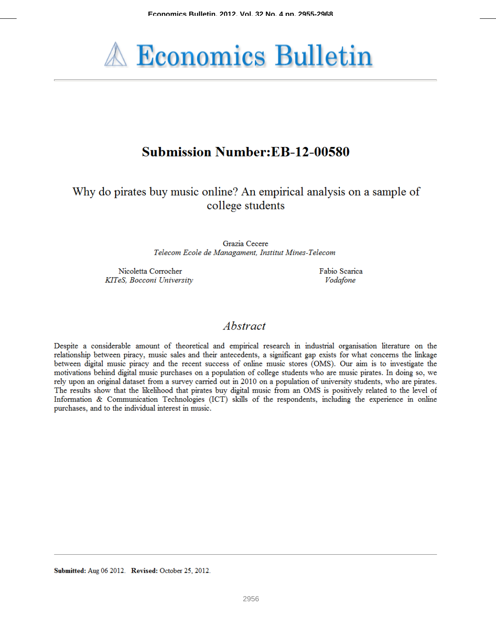

# **Submission Number:EB-12-00580**

Why do pirates buy music online? An empirical analysis on a sample of college students

> Grazia Cecere Telecom Ecole de Managament, Institut Mines-Telecom

Nicoletta Corrocher KITeS, Bocconi University Fabio Scarica Vodafone

## Abstract

Despite a considerable amount of theoretical and empirical research in industrial organisation literature on the relationship between piracy, music sales and their antecedents, a significant gap exists for what concerns the linkage between digital music piracy and the recent success of online music stores (OMS). Our aim is to investigate the motivations behind digital music purchases on a population of college students who are music pirates. In doing so, we rely upon an original dataset from a survey carried out in 2010 on a population of university students, who are pirates. The results show that the likelihood that pirates buy digital music from an OMS is positively related to the level of Information & Communication Technologies (ICT) skills of the respondents, including the experience in online purchases, and to the individual interest in music.

Submitted: Aug 06 2012. Revised: October 25, 2012.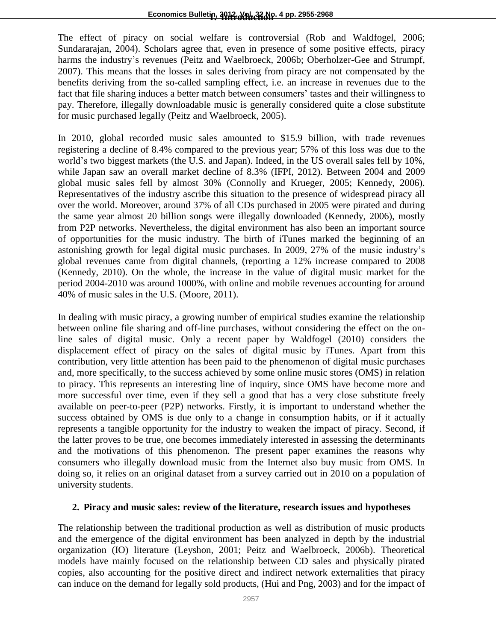The effect of piracy on social welfare is controversial (Rob and Waldfogel, 2006; Sundararajan, 2004). Scholars agree that, even in presence of some positive effects, piracy harms the industry's revenues (Peitz and Waelbroeck, 2006b; Oberholzer-Gee and Strumpf, 2007). This means that the losses in sales deriving from piracy are not compensated by the benefits deriving from the so-called sampling effect, i.e. an increase in revenues due to the fact that file sharing induces a better match between consumers' tastes and their willingness to pay. Therefore, illegally downloadable music is generally considered quite a close substitute for music purchased legally (Peitz and Waelbroeck, 2005).

In 2010, global recorded music sales amounted to \$15.9 billion, with trade revenues registering a decline of 8.4% compared to the previous year; 57% of this loss was due to the world's two biggest markets (the U.S. and Japan). Indeed, in the US overall sales fell by 10%, while Japan saw an overall market decline of 8.3% (IFPI, 2012). Between 2004 and 2009 global music sales fell by almost 30% (Connolly and Krueger, 2005; Kennedy, 2006). Representatives of the industry ascribe this situation to the presence of widespread piracy all over the world. Moreover, around 37% of all CDs purchased in 2005 were pirated and during the same year almost 20 billion songs were illegally downloaded (Kennedy, 2006), mostly from P2P networks. Nevertheless, the digital environment has also been an important source of opportunities for the music industry. The birth of iTunes marked the beginning of an astonishing growth for legal digital music purchases. In 2009, 27% of the music industry's global revenues came from digital channels, (reporting a 12% increase compared to 2008 (Kennedy, 2010). On the whole, the increase in the value of digital music market for the period 2004-2010 was around 1000%, with online and mobile revenues accounting for around 40% of music sales in the U.S. (Moore, 2011).

In dealing with music piracy, a growing number of empirical studies examine the relationship between online file sharing and off-line purchases, without considering the effect on the online sales of digital music. Only a recent paper by Waldfogel (2010) considers the displacement effect of piracy on the sales of digital music by iTunes. Apart from this contribution, very little attention has been paid to the phenomenon of digital music purchases and, more specifically, to the success achieved by some online music stores (OMS) in relation to piracy. This represents an interesting line of inquiry, since OMS have become more and more successful over time, even if they sell a good that has a very close substitute freely available on peer-to-peer (P2P) networks. Firstly, it is important to understand whether the success obtained by OMS is due only to a change in consumption habits, or if it actually represents a tangible opportunity for the industry to weaken the impact of piracy. Second, if the latter proves to be true, one becomes immediately interested in assessing the determinants and the motivations of this phenomenon. The present paper examines the reasons why consumers who illegally download music from the Internet also buy music from OMS. In doing so, it relies on an original dataset from a survey carried out in 2010 on a population of university students.

### **2. Piracy and music sales: review of the literature, research issues and hypotheses**

The relationship between the traditional production as well as distribution of music products and the emergence of the digital environment has been analyzed in depth by the industrial organization (IO) literature (Leyshon, 2001; Peitz and Waelbroeck, 2006b). Theoretical models have mainly focused on the relationship between CD sales and physically pirated copies, also accounting for the positive direct and indirect network externalities that piracy can induce on the demand for legally sold products, (Hui and Png, 2003) and for the impact of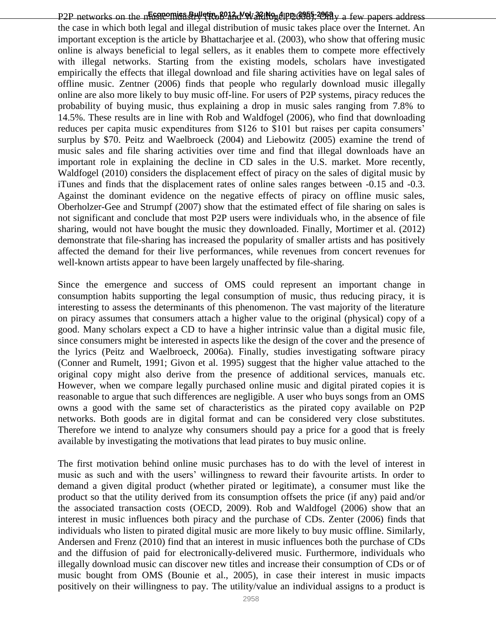P2P networks on the n**Economics Bulletin, 2012, Vol. 32 No. 4 pp. 2958** PV a few papers address the case in which both legal and illegal distribution of music takes place over the Internet. An important exception is the article by Bhattacharjee et al. (2003), who show that offering music online is always beneficial to legal sellers, as it enables them to compete more effectively with illegal networks. Starting from the existing models, scholars have investigated empirically the effects that illegal download and file sharing activities have on legal sales of offline music. Zentner (2006) finds that people who regularly download music illegally online are also more likely to buy music off-line. For users of P2P systems, piracy reduces the probability of buying music, thus explaining a drop in music sales ranging from 7.8% to 14.5%. These results are in line with Rob and Waldfogel (2006), who find that downloading reduces per capita music expenditures from \$126 to \$101 but raises per capita consumers' surplus by \$70. Peitz and Waelbroeck (2004) and Liebowitz (2005) examine the trend of music sales and file sharing activities over time and find that illegal downloads have an important role in explaining the decline in CD sales in the U.S. market. More recently, Waldfogel (2010) considers the displacement effect of piracy on the sales of digital music by iTunes and finds that the displacement rates of online sales ranges between -0.15 and -0.3. Against the dominant evidence on the negative effects of piracy on offline music sales, Oberholzer-Gee and Strumpf (2007) show that the estimated effect of file sharing on sales is not significant and conclude that most P2P users were individuals who, in the absence of file sharing, would not have bought the music they downloaded. Finally, Mortimer et al. (2012) demonstrate that file-sharing has increased the popularity of smaller artists and has positively affected the demand for their live performances, while revenues from concert revenues for well-known artists appear to have been largely unaffected by file-sharing.

Since the emergence and success of OMS could represent an important change in consumption habits supporting the legal consumption of music, thus reducing piracy, it is interesting to assess the determinants of this phenomenon. The vast majority of the literature on piracy assumes that consumers attach a higher value to the original (physical) copy of a good. Many scholars expect a CD to have a higher intrinsic value than a digital music file, since consumers might be interested in aspects like the design of the cover and the presence of the lyrics (Peitz and Waelbroeck, 2006a). Finally, studies investigating software piracy (Conner and Rumelt, 1991; Givon et al. 1995) suggest that the higher value attached to the original copy might also derive from the presence of additional services, manuals etc. However, when we compare legally purchased online music and digital pirated copies it is reasonable to argue that such differences are negligible. A user who buys songs from an OMS owns a good with the same set of characteristics as the pirated copy available on P2P networks. Both goods are in digital format and can be considered very close substitutes. Therefore we intend to analyze why consumers should pay a price for a good that is freely available by investigating the motivations that lead pirates to buy music online.

The first motivation behind online music purchases has to do with the level of interest in music as such and with the users' willingness to reward their favourite artists. In order to demand a given digital product (whether pirated or legitimate), a consumer must like the product so that the utility derived from its consumption offsets the price (if any) paid and/or the associated transaction costs (OECD, 2009). Rob and Waldfogel (2006) show that an interest in music influences both piracy and the purchase of CDs. Zenter (2006) finds that individuals who listen to pirated digital music are more likely to buy music offline. Similarly, Andersen and Frenz (2010) find that an interest in music influences both the purchase of CDs and the diffusion of paid for electronically-delivered music. Furthermore, individuals who illegally download music can discover new titles and increase their consumption of CDs or of music bought from OMS (Bounie et al., 2005), in case their interest in music impacts positively on their willingness to pay. The utility/value an individual assigns to a product is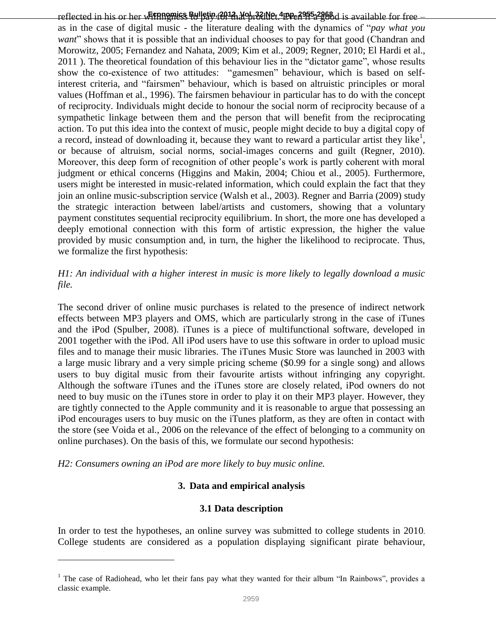reflected in his or her w**Etpnomics Bulletin, 2012, Vol. 32 No. 4 pp. 2955-2968** d is available for free – as in the case of digital music - the literature dealing with the dynamics of "*pay what you want*" shows that it is possible that an individual chooses to pay for that good (Chandran and Morowitz, 2005; Fernandez and Nahata, 2009; Kim et al., 2009; Regner, 2010; El Hardi et al., 2011 ). The theoretical foundation of this behaviour lies in the "dictator game", whose results show the co-existence of two attitudes: "gamesmen" behaviour, which is based on selfinterest criteria, and "fairsmen" behaviour, which is based on altruistic principles or moral values (Hoffman et al., 1996). The fairsmen behaviour in particular has to do with the concept of reciprocity. Individuals might decide to honour the social norm of reciprocity because of a sympathetic linkage between them and the person that will benefit from the reciprocating action. To put this idea into the context of music, people might decide to buy a digital copy of a record, instead of downloading it, because they want to reward a particular artist they like<sup>1</sup>, or because of altruism, social norms, social-images concerns and guilt (Regner, 2010). Moreover, this deep form of recognition of other people's work is partly coherent with moral judgment or ethical concerns (Higgins and Makin, 2004; Chiou et al., 2005). Furthermore, users might be interested in music-related information, which could explain the fact that they join an online music-subscription service (Walsh et al., 2003). Regner and Barria (2009) study the strategic interaction between label/artists and customers, showing that a voluntary payment constitutes sequential reciprocity equilibrium. In short, the more one has developed a deeply emotional connection with this form of artistic expression, the higher the value provided by music consumption and, in turn, the higher the likelihood to reciprocate. Thus, we formalize the first hypothesis:

### *H1: An individual with a higher interest in music is more likely to legally download a music file.*

The second driver of online music purchases is related to the presence of indirect network effects between MP3 players and OMS, which are particularly strong in the case of iTunes and the iPod (Spulber, 2008). iTunes is a piece of multifunctional software, developed in 2001 together with the iPod. All iPod users have to use this software in order to upload music files and to manage their music libraries. The iTunes Music Store was launched in 2003 with a large music library and a very simple pricing scheme (\$0.99 for a single song) and allows users to buy digital music from their favourite artists without infringing any copyright. Although the software iTunes and the iTunes store are closely related, iPod owners do not need to buy music on the iTunes store in order to play it on their MP3 player. However, they are tightly connected to the Apple community and it is reasonable to argue that possessing an iPod encourages users to buy music on the iTunes platform, as they are often in contact with the store (see Voida et al., 2006 on the relevance of the effect of belonging to a community on online purchases). On the basis of this, we formulate our second hypothesis:

*H2: Consumers owning an iPod are more likely to buy music online.*

 $\overline{a}$ 

### **3. Data and empirical analysis**

#### **3.1 Data description**

In order to test the hypotheses, an online survey was submitted to college students in 2010. College students are considered as a population displaying significant pirate behaviour,

<sup>&</sup>lt;sup>1</sup> The case of Radiohead, who let their fans pay what they wanted for their album "In Rainbows", provides a classic example.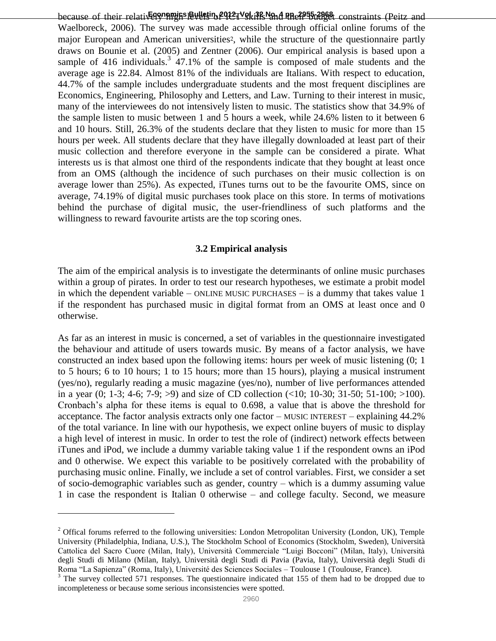because of their relatively **programs** Bulletin, 2012, Vol. 38 No. 4 pp. 2955-2968. constraints (Peitz and Waelboreck, 2006). The survey was made accessible through official online forums of the major European and American universities<sup>2</sup>, while the structure of the questionnaire partly draws on Bounie et al. (2005) and Zentner (2006). Our empirical analysis is based upon a sample of 416 individuals.<sup>3</sup> 47.1% of the sample is composed of male students and the average age is 22.84. Almost 81% of the individuals are Italians. With respect to education, 44.7% of the sample includes undergraduate students and the most frequent disciplines are Economics, Engineering, Philosophy and Letters, and Law. Turning to their interest in music, many of the interviewees do not intensively listen to music. The statistics show that 34.9% of the sample listen to music between 1 and 5 hours a week, while 24.6% listen to it between 6 and 10 hours. Still, 26.3% of the students declare that they listen to music for more than 15 hours per week. All students declare that they have illegally downloaded at least part of their music collection and therefore everyone in the sample can be considered a pirate. What interests us is that almost one third of the respondents indicate that they bought at least once from an OMS (although the incidence of such purchases on their music collection is on average lower than 25%). As expected, iTunes turns out to be the favourite OMS, since on average, 74.19% of digital music purchases took place on this store. In terms of motivations behind the purchase of digital music, the user-friendliness of such platforms and the willingness to reward favourite artists are the top scoring ones.

#### **3.2 Empirical analysis**

The aim of the empirical analysis is to investigate the determinants of online music purchases within a group of pirates. In order to test our research hypotheses, we estimate a probit model in which the dependent variable – ONLINE MUSIC PURCHASES – is a dummy that takes value  $1$ if the respondent has purchased music in digital format from an OMS at least once and 0 otherwise.

As far as an interest in music is concerned, a set of variables in the questionnaire investigated the behaviour and attitude of users towards music. By means of a factor analysis, we have constructed an index based upon the following items: hours per week of music listening (0; 1 to 5 hours; 6 to 10 hours; 1 to 15 hours; more than 15 hours), playing a musical instrument (yes/no), regularly reading a music magazine (yes/no), number of live performances attended in a year  $(0; 1-3; 4-6; 7-9; >9)$  and size of CD collection  $(\le 10; 10-30; 31-50; 51-100; >100)$ . Cronbach's alpha for these items is equal to 0.698, a value that is above the threshold for acceptance. The factor analysis extracts only one factor – MUSIC INTEREST – explaining 44.2% of the total variance. In line with our hypothesis, we expect online buyers of music to display a high level of interest in music. In order to test the role of (indirect) network effects between iTunes and iPod, we include a dummy variable taking value 1 if the respondent owns an iPod and 0 otherwise. We expect this variable to be positively correlated with the probability of purchasing music online. Finally, we include a set of control variables. First, we consider a set of socio-demographic variables such as gender, country – which is a dummy assuming value 1 in case the respondent is Italian 0 otherwise – and college faculty. Second, we measure

 $\overline{a}$ 

<sup>&</sup>lt;sup>2</sup> Offical forums referred to the following universities: London Metropolitan University (London, UK), Temple University (Philadelphia, Indiana, U.S.), The Stockholm School of Economics (Stockholm, Sweden), Università Cattolica del Sacro Cuore (Milan, Italy), Università Commerciale "Luigi Bocconi" (Milan, Italy), Università degli Studi di Milano (Milan, Italy), Università degli Studi di Pavia (Pavia, Italy), Università degli Studi di Roma "La Sapienza" (Roma, Italy), Université des Sciences Sociales – Toulouse 1 (Toulouse, France).

 $3$  The survey collected 571 responses. The questionnaire indicated that 155 of them had to be dropped due to incompleteness or because some serious inconsistencies were spotted.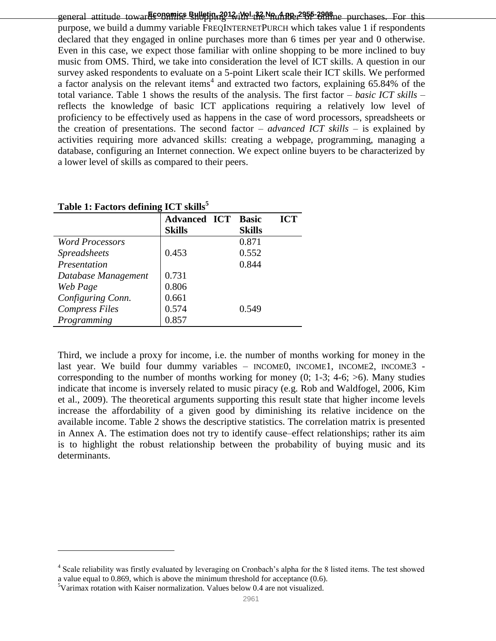**Economics Bulletin, 2012, Vol. 32 No. 4 pp. 2955-2968** general attitude towards online shopping with the number of online purchases. For this purpose, we build a dummy variable FREQINTERNETPURCH which takes value 1 if respondents declared that they engaged in online purchases more than 6 times per year and 0 otherwise. Even in this case, we expect those familiar with online shopping to be more inclined to buy music from OMS. Third, we take into consideration the level of ICT skills. A question in our survey asked respondents to evaluate on a 5-point Likert scale their ICT skills. We performed a factor analysis on the relevant items<sup>4</sup> and extracted two factors, explaining  $65.84\%$  of the total variance. Table 1 shows the results of the analysis. The first factor – *basic ICT skills* – reflects the knowledge of basic ICT applications requiring a relatively low level of proficiency to be effectively used as happens in the case of word processors, spreadsheets or the creation of presentations. The second factor – *advanced ICT skills* – is explained by activities requiring more advanced skills: creating a webpage, programming, managing a database, configuring an Internet connection. We expect online buyers to be characterized by a lower level of skills as compared to their peers.

|                        | <b>Advanced ICT</b> | <b>ICT</b><br><b>Basic</b> |
|------------------------|---------------------|----------------------------|
|                        | <b>Skills</b>       | <b>Skills</b>              |
| <b>Word Processors</b> |                     | 0.871                      |
| <b>Spreadsheets</b>    | 0.453               | 0.552                      |
| Presentation           |                     | 0.844                      |
| Database Management    | 0.731               |                            |
| Web Page               | 0.806               |                            |
| Configuring Conn.      | 0.661               |                            |
| <b>Compress Files</b>  | 0.574               | 0.549                      |
| Programming            | 0.857               |                            |

**Table 1: Factors defining ICT skills<sup>5</sup>**

Third, we include a proxy for income, i.e. the number of months working for money in the last year. We build four dummy variables – INCOME0, INCOME1, INCOME2, INCOME3 corresponding to the number of months working for money  $(0; 1-3; 4-6; >6)$ . Many studies indicate that income is inversely related to music piracy (e.g. Rob and Waldfogel, 2006, Kim et al., 2009). The theoretical arguments supporting this result state that higher income levels increase the affordability of a given good by diminishing its relative incidence on the available income. Table 2 shows the descriptive statistics. The correlation matrix is presented in Annex A. The estimation does not try to identify cause–effect relationships; rather its aim is to highlight the robust relationship between the probability of buying music and its determinants.

 $\overline{a}$ 

<sup>&</sup>lt;sup>4</sup> Scale reliability was firstly evaluated by leveraging on Cronbach's alpha for the 8 listed items. The test showed a value equal to 0.869, which is above the minimum threshold for acceptance (0.6).

<sup>5</sup>Varimax rotation with Kaiser normalization. Values below 0.4 are not visualized.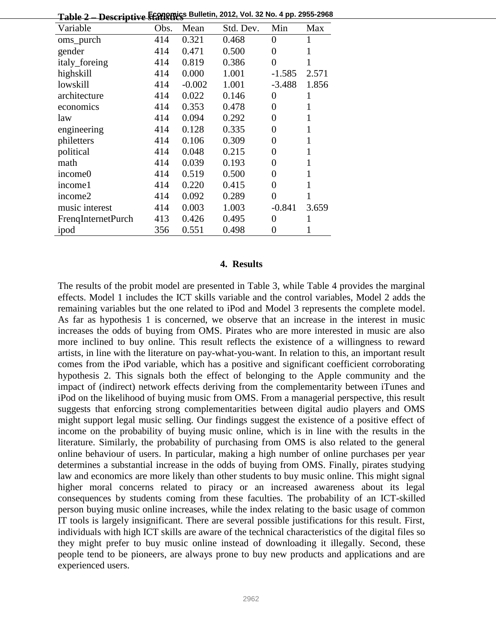| <del>ганс 4 — Descriptive statistics</del> |      |          |           |          |       |
|--------------------------------------------|------|----------|-----------|----------|-------|
| Variable                                   | Obs. | Mean     | Std. Dev. | Min      | Max   |
| oms_purch                                  | 414  | 0.321    | 0.468     | $\Omega$ | 1     |
| gender                                     | 414  | 0.471    | 0.500     | 0        | 1     |
| italy_foreing                              | 414  | 0.819    | 0.386     | $\theta$ | 1     |
| highskill                                  | 414  | 0.000    | 1.001     | $-1.585$ | 2.571 |
| lowskill                                   | 414  | $-0.002$ | 1.001     | $-3.488$ | 1.856 |
| architecture                               | 414  | 0.022    | 0.146     | 0        | 1     |
| economics                                  | 414  | 0.353    | 0.478     | $\theta$ | 1     |
| law                                        | 414  | 0.094    | 0.292     | 0        | 1     |
| engineering                                | 414  | 0.128    | 0.335     | 0        | 1     |
| philetters                                 | 414  | 0.106    | 0.309     | 0        | 1     |
| political                                  | 414  | 0.048    | 0.215     | 0        | 1     |
| math                                       | 414  | 0.039    | 0.193     | 0        | 1     |
| income0                                    | 414  | 0.519    | 0.500     | 0        | 1     |
| income1                                    | 414  | 0.220    | 0.415     | 0        | 1     |
| income2                                    | 414  | 0.092    | 0.289     | 0        | 1     |
| music interest                             | 414  | 0.003    | 1.003     | $-0.841$ | 3.659 |
| <b>FrengInternetPurch</b>                  | 413  | 0.426    | 0.495     | 0        | 1     |
| ipod                                       | 356  | 0.551    | 0.498     | 0        | 1     |

**Table 2 Economics Bulletin, 2012, Vol. 32 No. 4 pp. 2955-2968 – Descriptive statistics**

#### **4. Results**

The results of the probit model are presented in Table 3, while Table 4 provides the marginal effects. Model 1 includes the ICT skills variable and the control variables, Model 2 adds the remaining variables but the one related to iPod and Model 3 represents the complete model. As far as hypothesis 1 is concerned, we observe that an increase in the interest in music increases the odds of buying from OMS. Pirates who are more interested in music are also more inclined to buy online. This result reflects the existence of a willingness to reward artists, in line with the literature on pay-what-you-want. In relation to this, an important result comes from the iPod variable, which has a positive and significant coefficient corroborating hypothesis 2. This signals both the effect of belonging to the Apple community and the impact of (indirect) network effects deriving from the complementarity between iTunes and iPod on the likelihood of buying music from OMS. From a managerial perspective, this result suggests that enforcing strong complementarities between digital audio players and OMS might support legal music selling. Our findings suggest the existence of a positive effect of income on the probability of buying music online, which is in line with the results in the literature. Similarly, the probability of purchasing from OMS is also related to the general online behaviour of users. In particular, making a high number of online purchases per year determines a substantial increase in the odds of buying from OMS. Finally, pirates studying law and economics are more likely than other students to buy music online. This might signal higher moral concerns related to piracy or an increased awareness about its legal consequences by students coming from these faculties. The probability of an ICT-skilled person buying music online increases, while the index relating to the basic usage of common IT tools is largely insignificant. There are several possible justifications for this result. First, individuals with high ICT skills are aware of the technical characteristics of the digital files so they might prefer to buy music online instead of downloading it illegally. Second, these people tend to be pioneers, are always prone to buy new products and applications and are experienced users.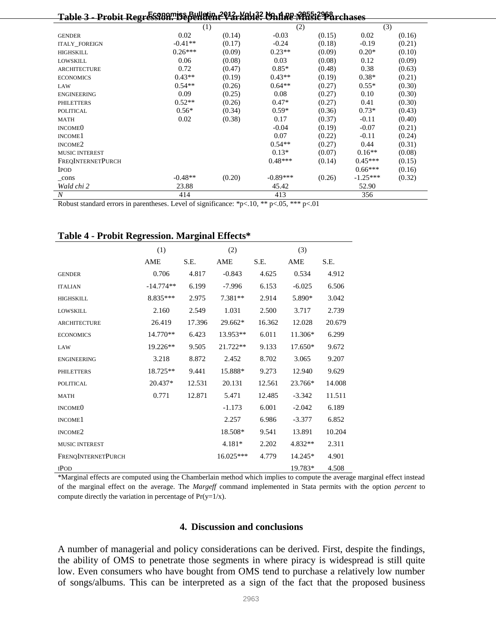| Probit Regression, Dependen<br><b>Manne Vitalic Parchases</b><br><u>.Yol 132</u><br>Table 3 - |           |        |            |        |            |        |  |  |  |  |
|-----------------------------------------------------------------------------------------------|-----------|--------|------------|--------|------------|--------|--|--|--|--|
|                                                                                               | (1)       |        | (2)        |        | (3)        |        |  |  |  |  |
| <b>GENDER</b>                                                                                 | 0.02      | (0.14) | $-0.03$    | (0.15) | 0.02       | (0.16) |  |  |  |  |
| <b>ITALY_FOREIGN</b>                                                                          | $-0.41**$ | (0.17) | $-0.24$    | (0.18) | $-0.19$    | (0.21) |  |  |  |  |
| HIGHSKILL                                                                                     | $0.26***$ | (0.09) | $0.23**$   | (0.09) | $0.20*$    | (0.10) |  |  |  |  |
| <b>LOWSKILL</b>                                                                               | 0.06      | (0.08) | 0.03       | (0.08) | 0.12       | (0.09) |  |  |  |  |
| <b>ARCHITECTURE</b>                                                                           | 0.72      | (0.47) | $0.85*$    | (0.48) | 0.38       | (0.63) |  |  |  |  |
| <b>ECONOMICS</b>                                                                              | $0.43**$  | (0.19) | $0.43**$   | (0.19) | $0.38*$    | (0.21) |  |  |  |  |
| LAW                                                                                           | $0.54**$  | (0.26) | $0.64**$   | (0.27) | $0.55*$    | (0.30) |  |  |  |  |
| <b>ENGINEERING</b>                                                                            | 0.09      | (0.25) | 0.08       | (0.27) | 0.10       | (0.30) |  |  |  |  |
| <b>PHILETTERS</b>                                                                             | $0.52**$  | (0.26) | $0.47*$    | (0.27) | 0.41       | (0.30) |  |  |  |  |
| <b>POLITICAL</b>                                                                              | $0.56*$   | (0.34) | $0.59*$    | (0.36) | $0.73*$    | (0.43) |  |  |  |  |
| <b>MATH</b>                                                                                   | 0.02      | (0.38) | 0.17       | (0.37) | $-0.11$    | (0.40) |  |  |  |  |
| INCOME <sub>0</sub>                                                                           |           |        | $-0.04$    | (0.19) | $-0.07$    | (0.21) |  |  |  |  |
| INCOME <sub>1</sub>                                                                           |           |        | 0.07       | (0.22) | $-0.11$    | (0.24) |  |  |  |  |
| INCOME <sub>2</sub>                                                                           |           |        | $0.54**$   | (0.27) | 0.44       | (0.31) |  |  |  |  |
| <b>MUSIC INTEREST</b>                                                                         |           |        | $0.13*$    | (0.07) | $0.16**$   | (0.08) |  |  |  |  |
| <b>FREQINTERNETPURCH</b>                                                                      |           |        | $0.48***$  | (0.14) | $0.45***$  | (0.15) |  |  |  |  |
| <b>IPOD</b>                                                                                   |           |        |            |        | $0.66***$  | (0.16) |  |  |  |  |
| $_{cons}$                                                                                     | $-0.48**$ | (0.20) | $-0.89***$ | (0.26) | $-1.25***$ | (0.32) |  |  |  |  |
| Wald chi 2                                                                                    | 23.88     |        | 45.42      |        | 52.90      |        |  |  |  |  |
| $\boldsymbol{N}$                                                                              | 414       |        | 413        |        | 356        |        |  |  |  |  |

Robust standard errors in parentheses. Level of significance: \*p<.10, \*\* p<.05, \*\*\* p<.01

|                           | (1)         |        | (2)         |        | (3)       |        |
|---------------------------|-------------|--------|-------------|--------|-----------|--------|
|                           | AME         | S.E.   | AME         | S.E.   | AME       | S.E.   |
| <b>GENDER</b>             | 0.706       | 4.817  | $-0.843$    | 4.625  | 0.534     | 4.912  |
| <b>ITALIAN</b>            | $-14.774**$ | 6.199  | $-7.996$    | 6.153  | $-6.025$  | 6.506  |
| <b>HIGHSKILL</b>          | 8.835***    | 2.975  | 7.381**     | 2.914  | 5.890*    | 3.042  |
| <b>LOWSKILL</b>           | 2.160       | 2.549  | 1.031       | 2.500  | 3.717     | 2.739  |
| <b>ARCHITECTURE</b>       | 26.419      | 17.396 | 29.662*     | 16.362 | 12.028    | 20.679 |
| <b>ECONOMICS</b>          | 14.770**    | 6.423  | 13.953**    | 6.011  | 11.306*   | 6.299  |
| LAW                       | 19.226**    | 9.505  | 21.722**    | 9.133  | $17.650*$ | 9.672  |
| <b>ENGINEERING</b>        | 3.218       | 8.872  | 2.452       | 8.702  | 3.065     | 9.207  |
| <b>PHILETTERS</b>         | 18.725**    | 9.441  | 15.888*     | 9.273  | 12.940    | 9.629  |
| <b>POLITICAL</b>          | 20.437*     | 12.531 | 20.131      | 12.561 | 23.766*   | 14.008 |
| <b>MATH</b>               | 0.771       | 12.871 | 5.471       | 12.485 | $-3.342$  | 11.511 |
| <b>INCOMEO</b>            |             |        | $-1.173$    | 6.001  | $-2.042$  | 6.189  |
| INCOME <sub>1</sub>       |             |        | 2.257       | 6.986  | $-3.377$  | 6.852  |
| INCOME <sub>2</sub>       |             |        | 18.508*     | 9.541  | 13.891    | 10.204 |
| <b>MUSIC INTEREST</b>     |             |        | 4.181*      | 2.202  | 4.832**   | 2.311  |
| <b>FRENQINTERNETPURCH</b> |             |        | $16.025***$ | 4.779  | 14.245*   | 4.901  |
| <b>IPOD</b>               |             |        |             |        | 19.783*   | 4.508  |

#### **Table 4 - Probit Regression. Marginal Effects\***

\*Marginal effects are computed using the Chamberlain method which implies to compute the average marginal effect instead of the marginal effect on the average. The *Margeff* command implemented in Stata permits with the option *percent* to compute directly the variation in percentage of  $Pr(y=1/x)$ .

#### **4. Discussion and conclusions**

A number of managerial and policy considerations can be derived. First, despite the findings, the ability of OMS to penetrate those segments in where piracy is widespread is still quite low. Even consumers who have bought from OMS tend to purchase a relatively low number of songs/albums. This can be interpreted as a sign of the fact that the proposed business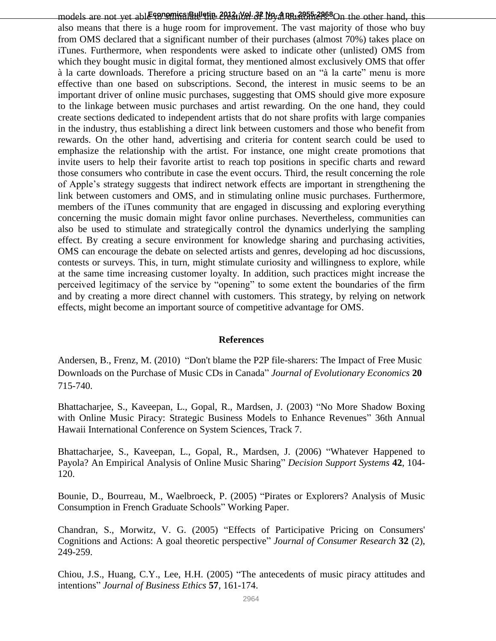models are not yet able **foromics Bulletin, 2012, Vol. 32 No. 4 pp. 2955-2968** On the other hand, this also means that there is a huge room for improvement. The vast majority of those who buy from OMS declared that a significant number of their purchases (almost 70%) takes place on iTunes. Furthermore, when respondents were asked to indicate other (unlisted) OMS from which they bought music in digital format, they mentioned almost exclusively OMS that offer à la carte downloads. Therefore a pricing structure based on an "à la carte" menu is more effective than one based on subscriptions. Second, the interest in music seems to be an important driver of online music purchases, suggesting that OMS should give more exposure to the linkage between music purchases and artist rewarding. On the one hand, they could create sections dedicated to independent artists that do not share profits with large companies in the industry, thus establishing a direct link between customers and those who benefit from rewards. On the other hand, advertising and criteria for content search could be used to emphasize the relationship with the artist. For instance, one might create promotions that invite users to help their favorite artist to reach top positions in specific charts and reward those consumers who contribute in case the event occurs. Third, the result concerning the role of Apple's strategy suggests that indirect network effects are important in strengthening the link between customers and OMS, and in stimulating online music purchases. Furthermore, members of the iTunes community that are engaged in discussing and exploring everything concerning the music domain might favor online purchases. Nevertheless, communities can also be used to stimulate and strategically control the dynamics underlying the sampling effect. By creating a secure environment for knowledge sharing and purchasing activities, OMS can encourage the debate on selected artists and genres, developing ad hoc discussions, contests or surveys. This, in turn, might stimulate curiosity and willingness to explore, while at the same time increasing customer loyalty. In addition, such practices might increase the perceived legitimacy of the service by "opening" to some extent the boundaries of the firm and by creating a more direct channel with customers. This strategy, by relying on network effects, might become an important source of competitive advantage for OMS.

#### **References**

Andersen, B., Frenz, M. (2010) "Don't blame the P2P file-sharers: The Impact of Free Music Downloads on the Purchase of Music CDs in Canada" *Journal of Evolutionary Economics* **20**  715-740.

Bhattacharjee, S., Kaveepan, L., Gopal, R., Mardsen, J. (2003) "No More Shadow Boxing with Online Music Piracy: Strategic Business Models to Enhance Revenues" 36th Annual Hawaii International Conference on System Sciences, Track 7.

Bhattacharjee, S., Kaveepan, L., Gopal, R., Mardsen, J. (2006) "Whatever Happened to Payola? An Empirical Analysis of Online Music Sharing" *Decision Support Systems* **42**, 104- 120.

Bounie, D., Bourreau, M., Waelbroeck, P. (2005) "Pirates or Explorers? Analysis of Music Consumption in French Graduate Schools" Working Paper.

Chandran, S., Morwitz, V. G. (2005) "Effects of Participative Pricing on Consumers' Cognitions and Actions: A goal theoretic perspective" *Journal of Consumer Research* **32** (2), 249-259.

Chiou, J.S., Huang, C.Y., Lee, H.H. (2005) "The antecedents of music piracy attitudes and intentions" *Journal of Business Ethics* **57**, 161-174.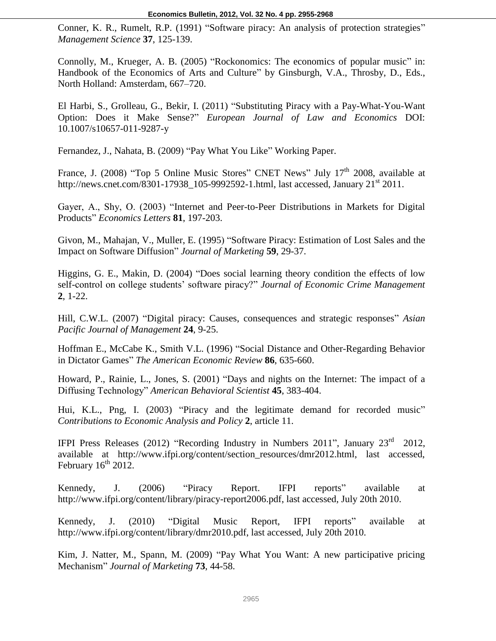Conner, K. R., Rumelt, R.P. (1991) "Software piracy: An analysis of protection strategies" *Management Science* **37**, 125-139.

Connolly, M., Krueger, A. B. (2005) "Rockonomics: The economics of popular music" in: Handbook of the Economics of Arts and Culture" by Ginsburgh, V.A., Throsby, D., Eds., North Holland: Amsterdam, 667–720.

El Harbi, S., Grolleau, G., Bekir, I. (2011) "Substituting Piracy with a Pay-What-You-Want Option: Does it Make Sense?" *European Journal of Law and Economics* DOI: 10.1007/s10657-011-9287-y

Fernandez, J., Nahata, B. (2009) "Pay What You Like" Working Paper.

France, J. (2008) "Top 5 Online Music Stores" CNET News" July 17<sup>th</sup> 2008, available at http://news.cnet.com/8301-17938\_105-9992592-1.html, last accessed, January  $21<sup>st</sup> 2011$ .

Gayer, A., Shy, O. (2003) "Internet and Peer-to-Peer Distributions in Markets for Digital Products" *Economics Letters* **81**, 197-203.

Givon, M., Mahajan, V., Muller, E. (1995) "Software Piracy: Estimation of Lost Sales and the Impact on Software Diffusion" *Journal of Marketing* **59**, 29-37.

Higgins, G. E., Makin, D. (2004) "Does social learning theory condition the effects of low self-control on college students' software piracy?" *Journal of Economic Crime Management* **2**, 1-22.

Hill, C.W.L. (2007) "Digital piracy: Causes, consequences and strategic responses" *Asian Pacific Journal of Management* **24**, 9-25.

Hoffman E., McCabe K., Smith V.L. (1996) "Social Distance and Other-Regarding Behavior in Dictator Games" *The American Economic Review* **86**, 635-660.

Howard, P., Rainie, L., Jones, S. (2001) "Days and nights on the Internet: The impact of a Diffusing Technology" *American Behavioral Scientist* **45**, 383-404.

Hui, K.L., Png, I. (2003) "Piracy and the legitimate demand for recorded music" *Contributions to Economic Analysis and Policy* **2**, article 11.

IFPI Press Releases (2012) "Recording Industry in Numbers 2011", January  $23<sup>rd</sup>$  2012, available at http://www.ifpi.org/content/section\_resources/dmr2012.html, last accessed, February  $16^{th}$  2012.

Kennedy, J. (2006) "Piracy Report. IFPI reports" available at http://www.ifpi.org/content/library/piracy-report2006.pdf, last accessed, July 20th 2010.

Kennedy, J. (2010) "Digital Music Report, IFPI reports" available at http://www.ifpi.org/content/library/dmr2010.pdf, last accessed, July 20th 2010.

Kim, J. Natter, M., Spann, M. (2009) "Pay What You Want: A new participative pricing Mechanism" *Journal of Marketing* **73**, 44-58.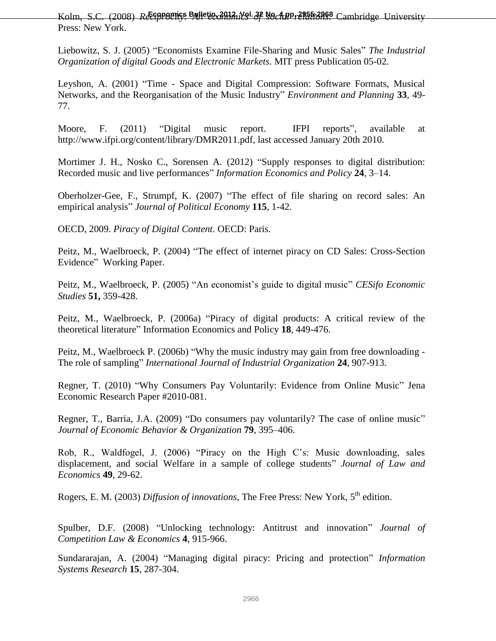Kolm, S.C. (2008) *Reconomics Bulletin, 2012, Vol. 32 No. 4 pp. 2955-2968* Cambridge University Press: New York.

Liebowitz, S. J. (2005) "Economists Examine File-Sharing and Music Sales" *The Industrial Organization of digital Goods and Electronic Markets*. MIT press Publication 05-02.

Leyshon, A. (2001) "Time - Space and Digital Compression: Software Formats, Musical Networks, and the Reorganisation of the Music Industry" *Environment and Planning* **33**, 49- 77.

Moore, F. (2011) "Digital music report. IFPI reports", available at http://www.ifpi.org/content/library/DMR2011.pdf, last accessed January 20th 2010.

Mortimer J. H., Nosko C., Sorensen A. (2012) "Supply responses to digital distribution: Recorded music and live performances" *Information Economics and Policy* **24**, 3–14.

Oberholzer-Gee, F., Strumpf, K. (2007) "The effect of file sharing on record sales: An empirical analysis" *Journal of Political Economy* **115**, 1-42.

OECD, 2009. *Piracy of Digital Content*. OECD: Paris.

Peitz, M., Waelbroeck, P. (2004) "The effect of internet piracy on CD Sales: Cross-Section Evidence" Working Paper.

Peitz, M., Waelbroeck, P. (2005) "An economist's guide to digital music" *CESifo Economic Studies* **51,** 359-428.

Peitz, M., Waelbroeck, P. (2006a) "Piracy of digital products: A critical review of the theoretical literature" Information Economics and Policy **18**, 449-476.

Peitz, M., Waelbroeck P. (2006b) "Why the music industry may gain from free downloading - The role of sampling" *International Journal of Industrial Organization* **24**, 907-913.

Regner, T. (2010) "Why Consumers Pay Voluntarily: Evidence from Online Music" Jena Economic Research Paper #2010-081.

Regner, T., Barria, J.A. (2009) "Do consumers pay voluntarily? The case of online music" *Journal of Economic Behavior & Organization* **79**, 395–406.

Rob, R., Waldfogel, J. (2006) "Piracy on the High C's: Music downloading, sales displacement, and social Welfare in a sample of college students" *Journal of Law and Economics* **49**, 29-62.

Rogers, E. M. (2003) *Diffusion of innovations*, The Free Press: New York, 5<sup>th</sup> edition.

Spulber, D.F. (2008) "Unlocking technology: Antitrust and innovation" *Journal of Competition Law & Economics* **4**, 915-966.

Sundararajan, A. (2004) "Managing digital piracy: Pricing and protection" *Information Systems Research* **15**, 287-304.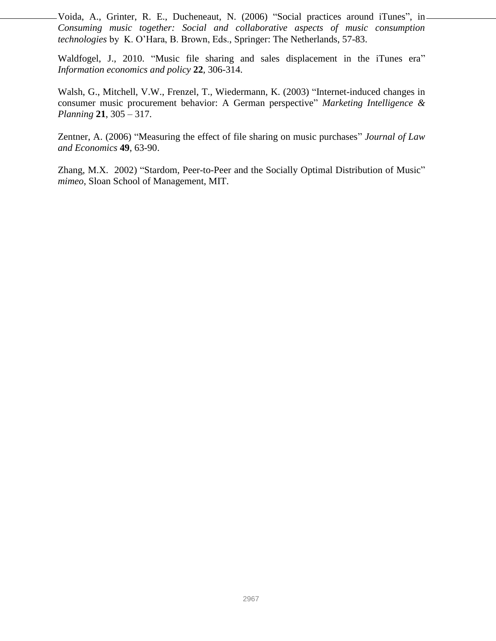Voida, A., Grinter, R. E., Ducheneaut, N. (2006) "Social practices around iTunes", in-*Consuming music together: Social and collaborative aspects of music consumption technologies* by K. O'Hara, B. Brown, Eds., Springer: The Netherlands, 57-83.

Waldfogel, J., 2010. "Music file sharing and sales displacement in the iTunes era" *Information economics and policy* **22**, 306-314.

Walsh, G., Mitchell, V.W., Frenzel, T., Wiedermann, K. (2003) "Internet-induced changes in consumer music procurement behavior: A German perspective" *Marketing Intelligence & Planning* **21**, 305 – 317.

Zentner, A. (2006) "Measuring the effect of file sharing on music purchases" *Journal of Law and Economics* **49**, 63-90.

Zhang, M.X. 2002) "Stardom, Peer-to-Peer and the Socially Optimal Distribution of Music" *mimeo*, Sloan School of Management, MIT.